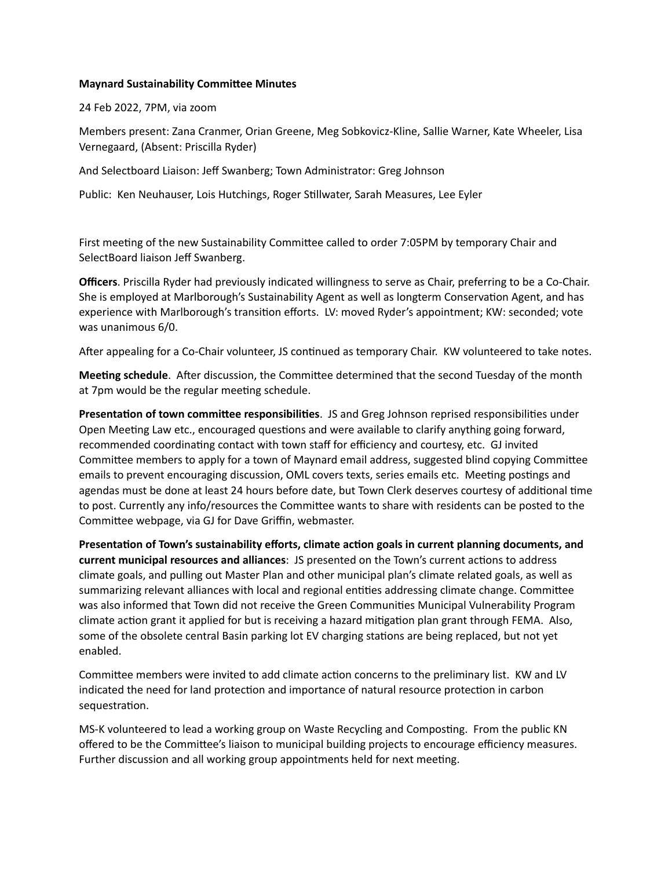## **Maynard Sustainability Committee Minutes**

24 Feb 2022, 7PM, via zoom

Members present: Zana Cranmer, Orian Greene, Meg Sobkovicz-Kline, Sallie Warner, Kate Wheeler, Lisa Vernegaard, (Absent: Priscilla Ryder)

And Selectboard Liaison: Jeff Swanberg; Town Administrator: Greg Johnson

Public: Ken Neuhauser, Lois Hutchings, Roger Stillwater, Sarah Measures, Lee Eyler

First meeting of the new Sustainability Committee called to order 7:05PM by temporary Chair and SelectBoard liaison Jeff Swanberg.

**Officers**. Priscilla Ryder had previously indicated willingness to serve as Chair, preferring to be a Co-Chair. She is employed at Marlborough's Sustainability Agent as well as longterm Conservation Agent, and has experience with Marlborough's transition efforts. LV: moved Ryder's appointment; KW: seconded; vote was unanimous 6/0.

After appealing for a Co-Chair volunteer, JS continued as temporary Chair. KW volunteered to take notes.

**Meeting schedule**. After discussion, the Committee determined that the second Tuesday of the month at 7pm would be the regular meeting schedule.

**Presentation of town committee responsibilities**. JS and Greg Johnson reprised responsibilities under Open Meeting Law etc., encouraged questions and were available to clarify anything going forward, recommended coordinating contact with town staff for efficiency and courtesy, etc. GJ invited Committee members to apply for a town of Maynard email address, suggested blind copying Committee emails to prevent encouraging discussion, OML covers texts, series emails etc. Meeting postings and agendas must be done at least 24 hours before date, but Town Clerk deserves courtesy of additional time to post. Currently any info/resources the Committee wants to share with residents can be posted to the Committee webpage, via GJ for Dave Griffin, webmaster.

**Presentation of Town's sustainability efforts, climate action goals in current planning documents, and current municipal resources and alliances**: JS presented on the Town's current actions to address climate goals, and pulling out Master Plan and other municipal plan's climate related goals, as well as summarizing relevant alliances with local and regional entities addressing climate change. Committee was also informed that Town did not receive the Green Communities Municipal Vulnerability Program climate action grant it applied for but is receiving a hazard mitigation plan grant through FEMA. Also, some of the obsolete central Basin parking lot EV charging stations are being replaced, but not yet enabled.

Committee members were invited to add climate action concerns to the preliminary list. KW and LV indicated the need for land protection and importance of natural resource protection in carbon sequestration.

MS-K volunteered to lead a working group on Waste Recycling and Composting. From the public KN offered to be the Committee's liaison to municipal building projects to encourage efficiency measures. Further discussion and all working group appointments held for next meeting.